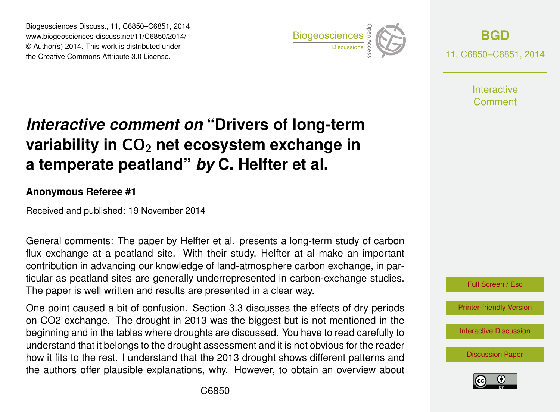Biogeosciences Discuss., 11, C6850–C6851, 2014 www.biogeosciences-discuss.net/11/C6850/2014/ © Author(s) 2014. This work is distributed under Biogeosciences Discuss., 11, C6850–C6851, 2014<br>www.biogeosciences-discuss.net/11/C6850/2014/<br>© Author(s) 2014. This work is distributed under<br>the Creative Commons Attribute 3.0 License.



**[BGD](http://www.biogeosciences-discuss.net)** 11, C6850–C6851, 2014

> **Interactive** Comment

## *Interactive comment on* **"Drivers of long-term variability in CO<sub>2</sub> net ecosystem exchange in a temperate peatland"** *by* **C. Helfter et al.**

## **Anonymous Referee #1**

Received and published: 19 November 2014

General comments: The paper by Helfter et al. presents a long-term study of carbon flux exchange at a peatland site. With their study, Helfter at al make an important contribution in advancing our knowledge of land-atmosphere carbon exchange, in particular as peatland sites are generally underrepresented in carbon-exchange studies. The paper is well written and results are presented in a clear way.

One point caused a bit of confusion. Section 3.3 discusses the effects of dry periods on CO2 exchange. The drought in 2013 was the biggest but is not mentioned in the beginning and in the tables where droughts are discussed. You have to read carefully to understand that it belongs to the drought assessment and it is not obvious for the reader how it fits to the rest. I understand that the 2013 drought shows different patterns and the authors offer plausible explanations, why. However, to obtain an overview about